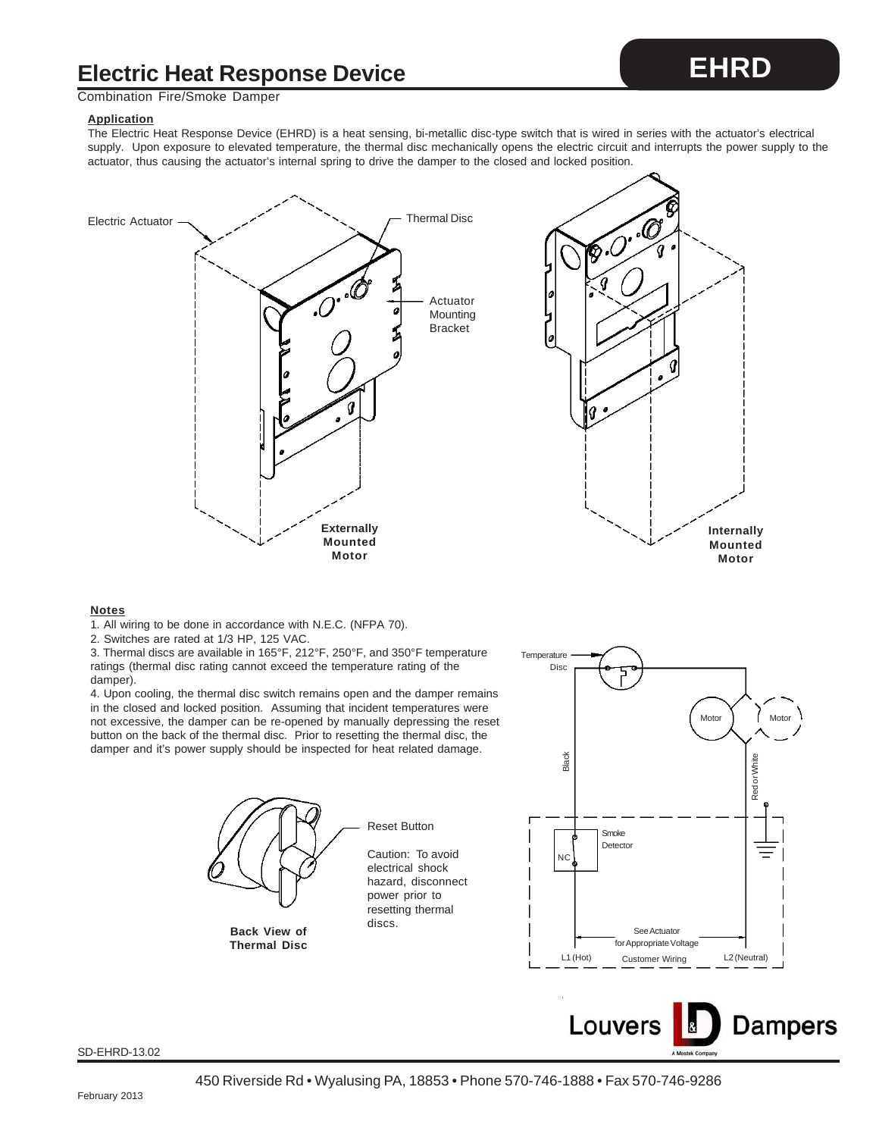## **Electric Heat Response Device**

### Combination Fire/Smoke Damper

#### **Application**

The Electric Heat Response Device (EHRD) is a heat sensing, bi-metallic disc-type switch that is wired in series with the actuator's electrical supply. Upon exposure to elevated temperature, the thermal disc mechanically opens the electric circuit and interrupts the power supply to the actuator, thus causing the actuator's internal spring to drive the damper to the closed and locked position.





#### **Notes**

1. All wiring to be done in accordance with N.E.C. (NFPA 70).

2. Switches are rated at 1/3 HP, 125 VAC.

3. Thermal discs are available in 165°F, 212°F, 250°F, and 350°F temperature ratings (thermal disc rating cannot exceed the temperature rating of the damper).

4. Upon cooling, the thermal disc switch remains open and the damper remains in the closed and locked position. Assuming that incident temperatures were not excessive, the damper can be re-opened by manually depressing the reset button on the back of the thermal disc. Prior to resetting the thermal disc, the damper and it's power supply should be inspected for heat related damage.



discs. **Back View of Thermal Disc**

Reset Button

Caution: To avoid electrical shock hazard, disconnect power prior to resetting thermal





SD-EHRD-13.02